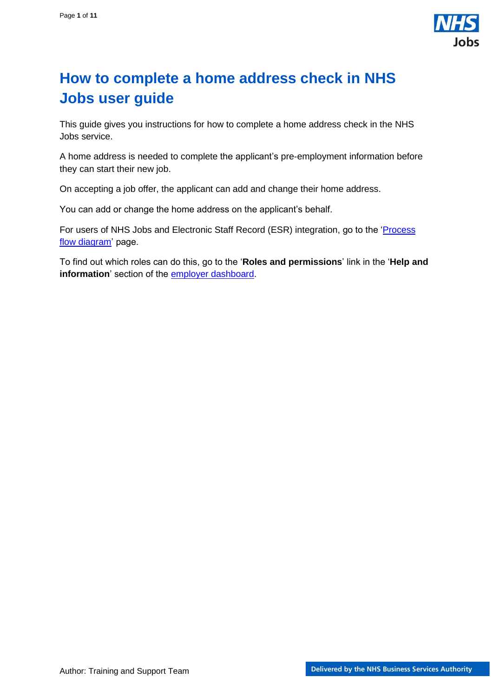

# <span id="page-0-0"></span>**How to complete a home address check in NHS Jobs user guide**

This guide gives you instructions for how to complete a home address check in the NHS Jobs service.

A home address is needed to complete the applicant's pre-employment information before they can start their new job.

On accepting a job offer, the applicant can add and change their home address.

You can add or change the home address on the applicant's behalf.

For users of NHS Jobs and Electronic Staff Record (ESR) integration, go to the '*Process* [flow diagram'](#page-2-0) page.

To find out which roles can do this, go to the '**Roles and permissions**' link in the '**Help and information**' section of the **employer dashboard**.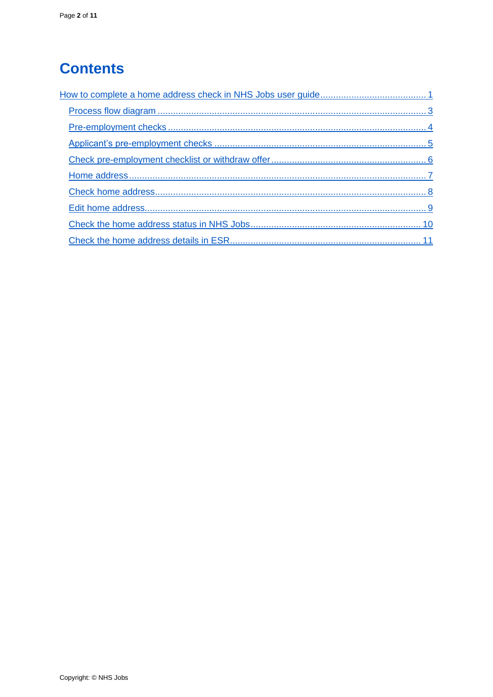# **Contents**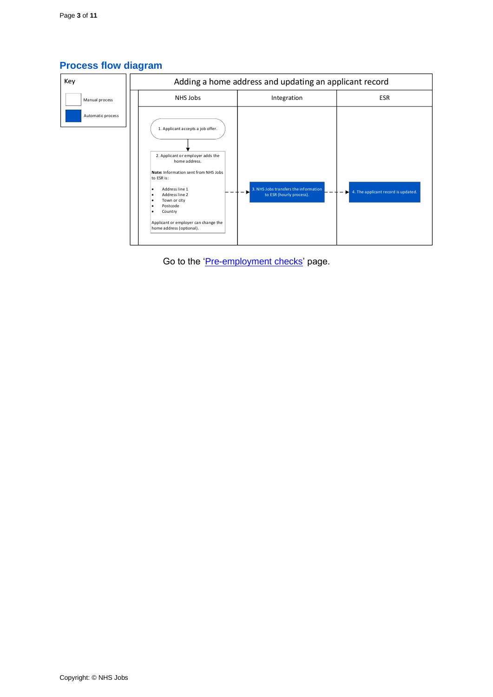

## <span id="page-2-0"></span>**Process flow diagram**

Go to the '*Pre-employment checks*' page.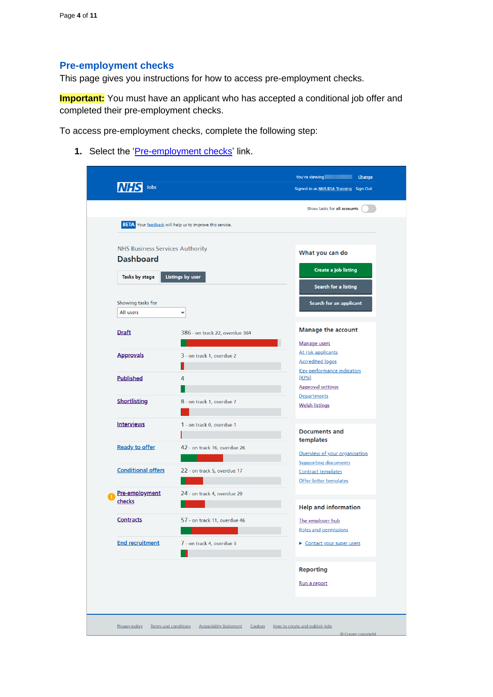## <span id="page-3-0"></span>**Pre-employment checks**

This page gives you instructions for how to access pre-employment checks.

**Important:** You must have an applicant who has accepted a conditional job offer and completed their pre-employment checks.

To access pre-employment checks, complete the following step:

<span id="page-3-1"></span>1. Select the ['Pre-employment checks'](#page-3-1) link.

|                                        |                                                                 | Show tasks for all accounts                                  |
|----------------------------------------|-----------------------------------------------------------------|--------------------------------------------------------------|
|                                        | <b>BETA</b> Your feedback will help us to improve this service. |                                                              |
| <b>NHS Business Services Authority</b> |                                                                 | What you can do                                              |
| <b>Dashboard</b>                       |                                                                 | Create a job listing                                         |
| Tasks by stage                         | <b>Listings by user</b>                                         | Search for a listing                                         |
| Showing tasks for                      |                                                                 | Search for an applicant                                      |
| All users                              | $\check{~}$                                                     |                                                              |
| <b>Draft</b>                           | 386 - on track 22, overdue 364                                  | <b>Manage the account</b>                                    |
| <b>Approvals</b>                       | 3 - on track 1, overdue 2                                       | Manage users<br>At risk applicants                           |
|                                        |                                                                 | <b>Accredited logos</b><br><b>Key performance indicators</b> |
| <b>Published</b>                       | 4                                                               | (KPIs)<br><b>Approval settings</b>                           |
| <b>Shortlisting</b>                    | 8 - on track 1, overdue 7                                       | Departments<br><b>Welsh listings</b>                         |
| <b>Interviews</b>                      | 1 - on track 0, overdue 1                                       | <b>Documents and</b>                                         |
| <b>Ready to offer</b>                  | 42 - on track 16, overdue 26                                    | templates<br>Overview of your organisation                   |
| <b>Conditional offers</b>              | 22 - on track 5, overdue 17                                     | <b>Supporting documents</b><br><b>Contract templates</b>     |
| Pre-employment                         | 24 - on track 4, overdue 20                                     | Offer letter templates                                       |
| checks                                 |                                                                 | <b>Help and information</b>                                  |
| <b>Contracts</b>                       | 57 - on track 11, overdue 46                                    | The employer hub<br>Roles and permissions                    |
| <b>End recruitment</b>                 | 7 - on track 4, overdue 3                                       | Contact your super users                                     |
|                                        |                                                                 | <b>Reporting</b>                                             |
|                                        |                                                                 | Run a report                                                 |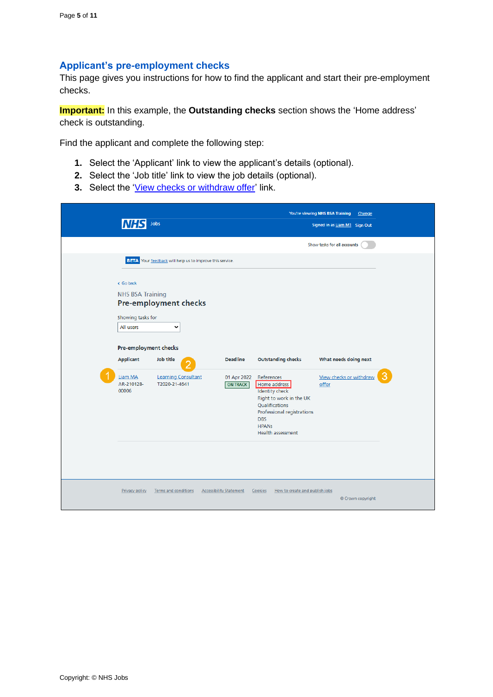#### <span id="page-4-0"></span>**Applicant's pre-employment checks**

This page gives you instructions for how to find the applicant and start their pre-employment checks.

**Important:** In this example, the **Outstanding checks** section shows the 'Home address' check is outstanding.

Find the applicant and complete the following step:

- **1.** Select the 'Applicant' link to view the applicant's details (optional).
- **2.** Select the 'Job title' link to view the job details (optional).
- **3.** Select the ['View checks or withdraw offer'](#page-5-0) link.

|                                                                                                                                                | Jobs                                                                                                                                                                 |                                                   |                                                                                                                                                                                                                | You're viewing NHS BSA Training<br>Change<br>Signed in as Liam M1 Sign Out |   |
|------------------------------------------------------------------------------------------------------------------------------------------------|----------------------------------------------------------------------------------------------------------------------------------------------------------------------|---------------------------------------------------|----------------------------------------------------------------------------------------------------------------------------------------------------------------------------------------------------------------|----------------------------------------------------------------------------|---|
|                                                                                                                                                |                                                                                                                                                                      |                                                   |                                                                                                                                                                                                                | Show tasks for all accounts                                                |   |
| < Go back<br><b>NHS BSA Training</b><br>Showing tasks for<br>All users<br>Pre-employment checks<br>Applicant<br>Liam MA<br>AR-210128-<br>00006 | <b>BETA</b> Your feedback will help us to improve this service.<br>Pre-employment checks<br>$\checkmark$<br>Job title<br><b>Learning Consultant</b><br>T2020-21-4641 | <b>Deadline</b><br>01 Apr 2022<br><b>ON TRACK</b> | <b>Outstanding checks</b><br>References<br>Home address<br><b>Identity check</b><br>Right to work in the UK<br>Qualifications<br>Professional registrations<br><b>DBS</b><br><b>HPANS</b><br>Health assessment | What needs doing next<br>View checks or withdraw<br>offer                  | 3 |
| <b>Privacy policy</b>                                                                                                                          | Terms and conditions                                                                                                                                                 | <b>Accessibility Statement</b>                    | Cookies<br>How to create and publish jobs                                                                                                                                                                      | © Crown copyright                                                          |   |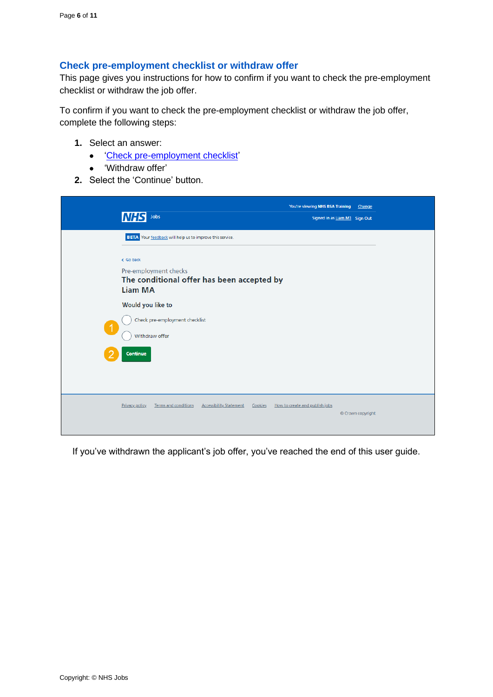#### <span id="page-5-0"></span>**Check pre-employment checklist or withdraw offer**

This page gives you instructions for how to confirm if you want to check the pre-employment checklist or withdraw the job offer.

To confirm if you want to check the pre-employment checklist or withdraw the job offer, complete the following steps:

- **1.** Select an answer:
	- ['Check pre-employment checklist'](#page-6-0)
	- 'Withdraw offer'
- **2.** Select the 'Continue' button.

| Jobs<br><b>INHS</b>                                                                                                                                            | You're viewing NHS BSA Training<br>Change<br>Signed in as Liam M1 Sign Out |
|----------------------------------------------------------------------------------------------------------------------------------------------------------------|----------------------------------------------------------------------------|
| BETA Your feedback will help us to improve this service.<br>< Go back<br>Pre-employment checks<br>The conditional offer has been accepted by<br><b>Liam MA</b> |                                                                            |
| Would you like to<br>Check pre-employment checklist<br>$\blacktriangleleft$<br>Withdraw offer                                                                  |                                                                            |
| Continue                                                                                                                                                       |                                                                            |
| <b>Terms and conditions</b><br><b>Accessibility Statement</b><br>Privacy policy<br>Cookies                                                                     | How to create and publish jobs<br>© Crown copyright                        |

If you've withdrawn the applicant's job offer, you've reached the end of this user guide.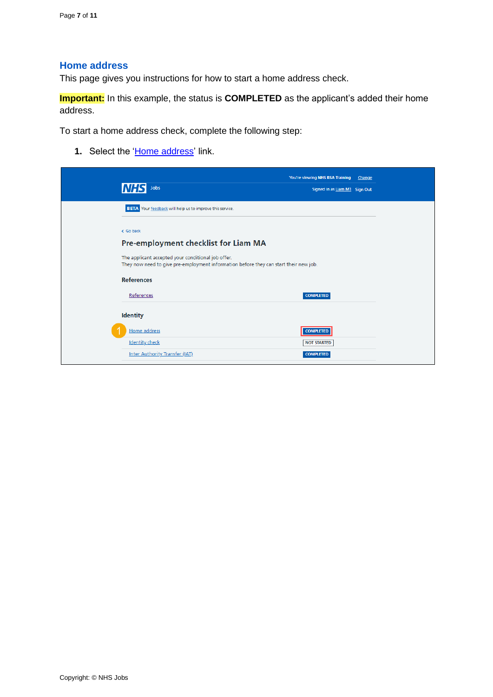#### <span id="page-6-0"></span>**Home address**

This page gives you instructions for how to start a home address check.

**Important:** In this example, the status is **COMPLETED** as the applicant's added their home address.

To start a home address check, complete the following step:

**1.** Select the ['Home address'](#page-7-0) link.

|                                                                                                                                             | You're viewing NHS BSA Training Change |  |
|---------------------------------------------------------------------------------------------------------------------------------------------|----------------------------------------|--|
| <b>Jobs</b>                                                                                                                                 | Signed in as Liam M1 Sign Out          |  |
| BETA Your feedback will help us to improve this service.                                                                                    |                                        |  |
| < Go back                                                                                                                                   |                                        |  |
| Pre-employment checklist for Liam MA                                                                                                        |                                        |  |
| The applicant accepted your conditional job offer.<br>They now need to give pre-employment information before they can start their new job. |                                        |  |
| <b>References</b>                                                                                                                           |                                        |  |
| References                                                                                                                                  | <b>COMPLETED</b>                       |  |
| <b>Identity</b>                                                                                                                             |                                        |  |
| Home address                                                                                                                                | <b>COMPLETED</b>                       |  |
| <b>Identity check</b>                                                                                                                       | <b>NOT STARTED</b>                     |  |
| Inter Authority Transfer (IAT)                                                                                                              | <b>COMPLETED</b>                       |  |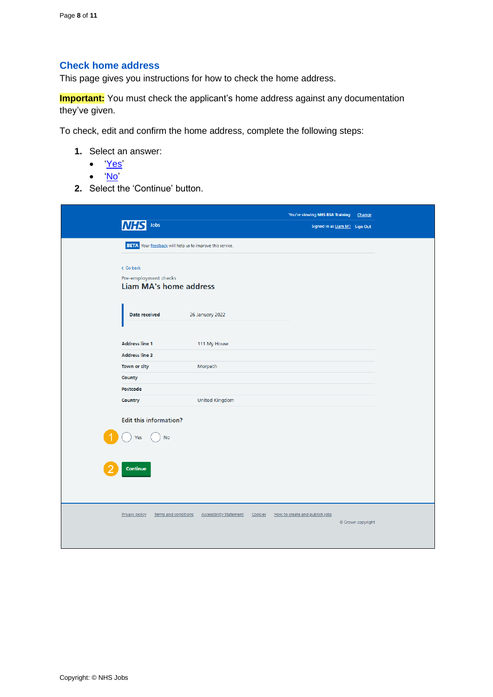# <span id="page-7-0"></span>**Check home address**

This page gives you instructions for how to check the home address.

**Important:** You must check the applicant's home address against any documentation they've given.

To check, edit and confirm the home address, complete the following steps:

- **1.** Select an answer:
	- ['Yes'](#page-8-0)
	- ['No'](#page-9-0)
- **2.** Select the 'Continue' button.

|                       | Jobs                                                            |                                |         | You're viewing NHS BSA Training | Signed in as Liam M1 Sign Out | Change            |  |
|-----------------------|-----------------------------------------------------------------|--------------------------------|---------|---------------------------------|-------------------------------|-------------------|--|
|                       | <b>BETA</b> Your feedback will help us to improve this service. |                                |         |                                 |                               |                   |  |
| < Go back             | Pre-employment checks<br><b>Liam MA's home address</b>          |                                |         |                                 |                               |                   |  |
|                       | Date received                                                   | 26 January 2022                |         |                                 |                               |                   |  |
|                       |                                                                 |                                |         |                                 |                               |                   |  |
| <b>Address line 1</b> |                                                                 | 111 My House                   |         |                                 |                               |                   |  |
| <b>Address line 2</b> |                                                                 |                                |         |                                 |                               |                   |  |
| Town or city          |                                                                 | Morpeth                        |         |                                 |                               |                   |  |
| County                |                                                                 |                                |         |                                 |                               |                   |  |
| Postcode              |                                                                 |                                |         |                                 |                               |                   |  |
| Country               |                                                                 | <b>United Kingdom</b>          |         |                                 |                               |                   |  |
| Yes<br>Continue       | <b>Edit this information?</b><br><b>No</b>                      |                                |         |                                 |                               |                   |  |
| Privacy policy        | Terms and conditions                                            | <b>Accessibility Statement</b> | Cookies | How to create and publish jobs  |                               | © Crown copyright |  |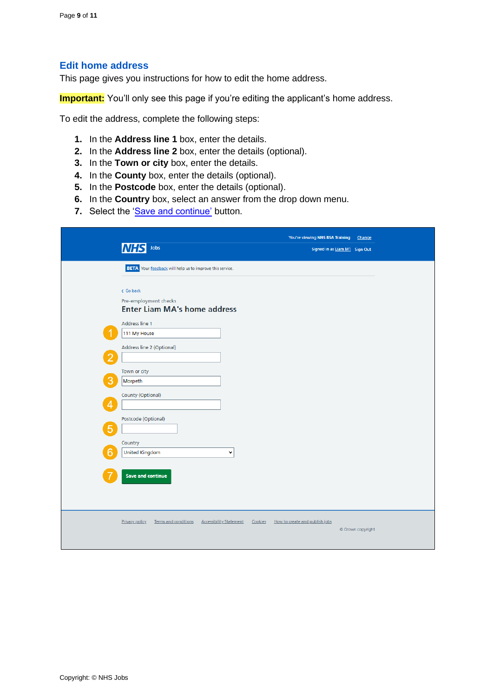#### <span id="page-8-0"></span>**Edit home address**

This page gives you instructions for how to edit the home address.

**Important:** You'll only see this page if you're editing the applicant's home address.

To edit the address, complete the following steps:

- **1.** In the **Address line 1** box, enter the details.
- **2.** In the **Address line 2** box, enter the details (optional).
- **3.** In the **Town or city** box, enter the details.
- **4.** In the **County** box, enter the details (optional).
- **5.** In the **Postcode** box, enter the details (optional).
- **6.** In the **Country** box, select an answer from the drop down menu.
- **7.** Select the ['Save and continue'](#page-9-0) button.

|                                                          |                                           | You're viewing NHS BSA Training | Change            |
|----------------------------------------------------------|-------------------------------------------|---------------------------------|-------------------|
| Jobs<br>INH.                                             |                                           | Signed in as Liam M1 Sign Out   |                   |
| BETA Your feedback will help us to improve this service. |                                           |                                 |                   |
|                                                          |                                           |                                 |                   |
| < Go back                                                |                                           |                                 |                   |
| Pre-employment checks                                    |                                           |                                 |                   |
| <b>Enter Liam MA's home address</b>                      |                                           |                                 |                   |
| Address line 1                                           |                                           |                                 |                   |
| 111 My House                                             |                                           |                                 |                   |
| Address line 2 (Optional)                                |                                           |                                 |                   |
| 2                                                        |                                           |                                 |                   |
| Town or city                                             |                                           |                                 |                   |
| Morpeth                                                  |                                           |                                 |                   |
|                                                          |                                           |                                 |                   |
| County (Optional)<br>Λ                                   |                                           |                                 |                   |
|                                                          |                                           |                                 |                   |
| Postcode (Optional)                                      |                                           |                                 |                   |
| 5                                                        |                                           |                                 |                   |
| Country                                                  |                                           |                                 |                   |
| 6<br><b>United Kingdom</b>                               | $\checkmark$                              |                                 |                   |
|                                                          |                                           |                                 |                   |
| <b>Save and continue</b>                                 |                                           |                                 |                   |
|                                                          |                                           |                                 |                   |
|                                                          |                                           |                                 |                   |
|                                                          |                                           |                                 |                   |
| <b>Privacy policy</b><br>Terms and conditions            | <b>Accessibility Statement</b><br>Cookies | How to create and publish jobs  |                   |
|                                                          |                                           |                                 | © Crown copyright |
|                                                          |                                           |                                 |                   |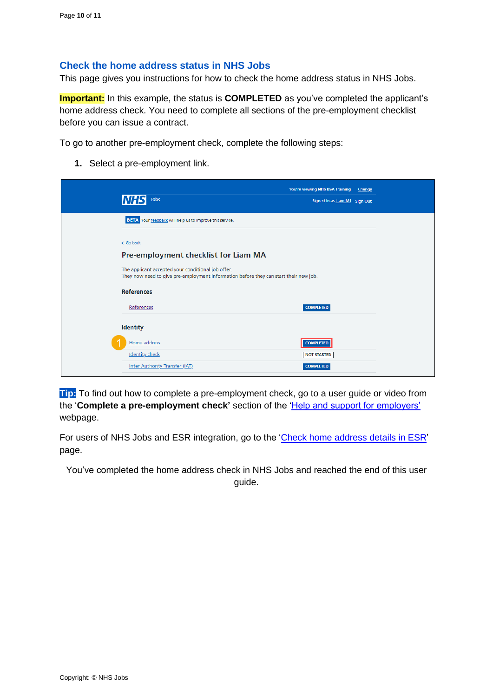#### <span id="page-9-0"></span>**Check the home address status in NHS Jobs**

This page gives you instructions for how to check the home address status in NHS Jobs.

**Important:** In this example, the status is **COMPLETED** as you've completed the applicant's home address check. You need to complete all sections of the pre-employment checklist before you can issue a contract.

To go to another pre-employment check, complete the following steps:

**1.** Select a pre-employment link.

| Jobs                                                                                                                                        | You're viewing NHS BSA Training<br>Signed in as Liam M1 Sign Out | Change |
|---------------------------------------------------------------------------------------------------------------------------------------------|------------------------------------------------------------------|--------|
|                                                                                                                                             |                                                                  |        |
| BETA Your feedback will help us to improve this service.                                                                                    |                                                                  |        |
|                                                                                                                                             |                                                                  |        |
| < Go back                                                                                                                                   |                                                                  |        |
| Pre-employment checklist for Liam MA                                                                                                        |                                                                  |        |
| The applicant accepted your conditional job offer.<br>They now need to give pre-employment information before they can start their new job. |                                                                  |        |
| <b>References</b>                                                                                                                           |                                                                  |        |
| References                                                                                                                                  | <b>COMPLETED</b>                                                 |        |
| <b>Identity</b>                                                                                                                             |                                                                  |        |
| Home address                                                                                                                                | <b>COMPLETED</b>                                                 |        |
| <b>Identity check</b>                                                                                                                       | <b>NOT STARTED</b>                                               |        |
| Inter Authority Transfer (IAT)                                                                                                              | <b>COMPLETED</b>                                                 |        |

**Tip:** To find out how to complete a pre-employment check, go to a user guide or video from the '**Complete a pre-employment check'** section of the ['Help and support for employers'](https://www.nhsbsa.nhs.uk/new-nhs-jobs-service/help-and-support-employers) webpage.

For users of NHS Jobs and ESR integration, go to the ['Check home address](#page-10-0) details in ESR' page.

You've completed the home address check in NHS Jobs and reached the end of this user guide.

Copyright: © NHS Jobs